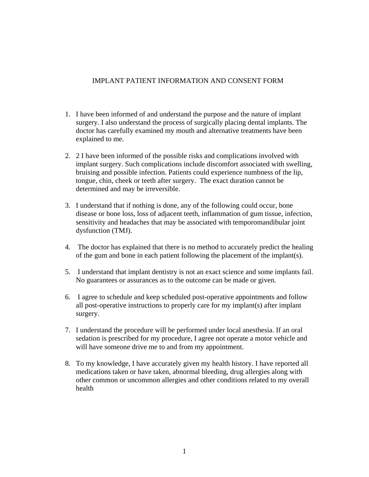## IMPLANT PATIENT INFORMATION AND CONSENT FORM

- 1. I have been informed of and understand the purpose and the nature of implant surgery. I also understand the process of surgically placing dental implants. The doctor has carefully examined my mouth and alternative treatments have been explained to me.
- 2. 2 I have been informed of the possible risks and complications involved with implant surgery. Such complications include discomfort associated with swelling, bruising and possible infection. Patients could experience numbness of the lip, tongue, chin, cheek or teeth after surgery. The exact duration cannot be determined and may be irreversible.
- 3. I understand that if nothing is done, any of the following could occur, bone disease or bone loss, loss of adjacent teeth, inflammation of gum tissue, infection, sensitivity and headaches that may be associated with temporomandibular joint dysfunction (TMJ).
- 4. The doctor has explained that there is no method to accurately predict the healing of the gum and bone in each patient following the placement of the implant(s).
- 5. I understand that implant dentistry is not an exact science and some implants fail. No guarantees or assurances as to the outcome can be made or given.
- 6. I agree to schedule and keep scheduled post-operative appointments and follow all post-operative instructions to properly care for my implant(s) after implant surgery.
- 7. I understand the procedure will be performed under local anesthesia. If an oral sedation is prescribed for my procedure, I agree not operate a motor vehicle and will have someone drive me to and from my appointment.
- 8. To my knowledge, I have accurately given my health history. I have reported all medications taken or have taken, abnormal bleeding, drug allergies along with other common or uncommon allergies and other conditions related to my overall health